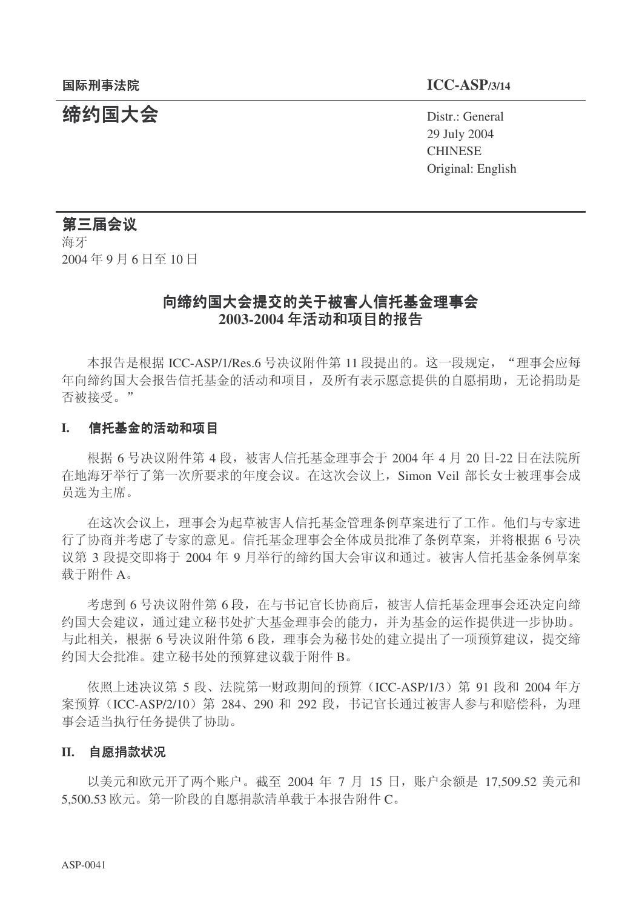### 䰙ߥџ⊩䰶 **ICC-ASP/3/14**

**缔约国大会** Distr.: General 29 July 2004 **CHINESE** Original: English

### 第三届会议

海牙 2004年9月6日至10日

### 向缔约国大会提交的关于被害人信托基金理事会 2003-2004 年活动和项目的报告

本报告是根据 ICC-ASP/1/Res.6 号决议附件第 11 段提出的。这一段规定, "理事会应每 年向缔约国大会报告信托基金的活动和项目, 及所有表示愿意提供的自愿捐助, 无论捐助是 否被接受。"

#### I. 信托基金的活动和项目

根据 6 号决议附件第 4 段, 被害人信托基金理事会于 2004 年 4 月 20 日-22 日在法院所 在地海牙举行了第一次所要求的年度会议。在这次会议上, Simon Veil 部长女士被理事会成 员选为主席。

在这次会议上, 理事会为起草被害人信托基金管理条例草案进行了工作。他们与专家进 行了协商并考虑了专家的意见。信托基金理事会全体成员批准了条例草案,并将根据6号决 议第3段提交即将于2004年9月举行的缔约国大会审议和通过。被害人信托基金条例草案 载于附件 A。

考虑到6号决议附件第6段,在与书记官长协商后,被害人信托基金理事会还决定向缔 约国大会建议,通过建立秘书处扩大基金理事会的能力,并为基金的运作提供进一步协助。 与此相关,根据6号决议附件第6段,理事会为秘书处的建立提出了一项预算建议,提交缔 约国大会批准。建立秘书处的预算建议载于附件 B。

依照上述决议第5段、法院第一财政期间的预算(ICC-ASP/1/3) 第 91 段和 2004 年方 案预算 (ICC-ASP/2/10) 第 284、290 和 292 段, 书记官长通过被害人参与和赔偿科, 为理 事会适当执行任务提供了协助。

#### II. 自愿捐款状况

以美元和欧元开了两个账户。截至 2004 年 7 月 15 日, 账户余额是 17,509.52 美元和  $5.500.53$  欧元。第一阶段的自愿捐款清单载于本报告附件 $C<sub>s</sub>$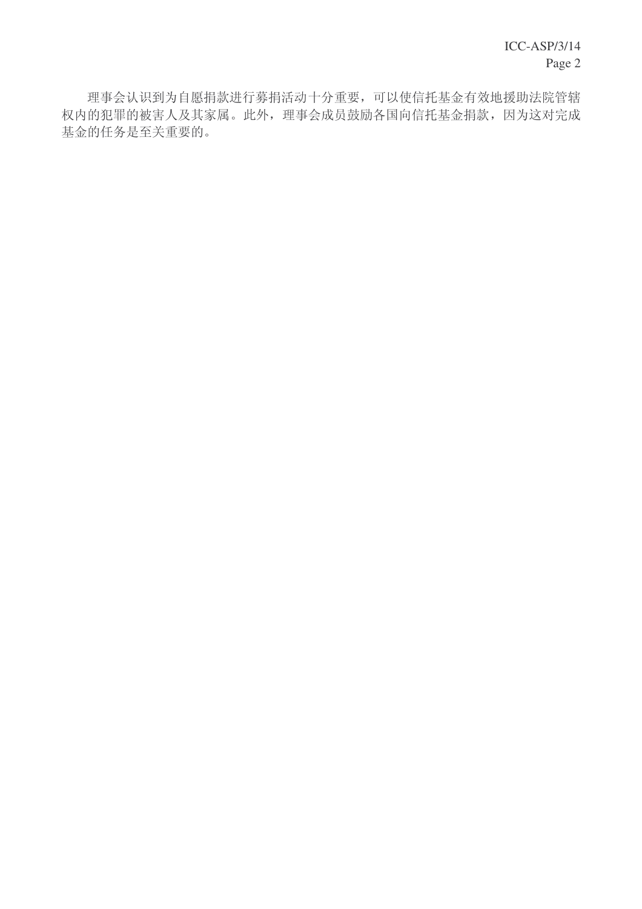理事会认识到为自愿捐款进行募捐活动十分重要,可以使信托基金有效地援助法院管辖 权内的犯罪的被害人及其家属。此外,理事会成员鼓励各国向信托基金捐款,因为这对完成 基金的任务是至关重要的。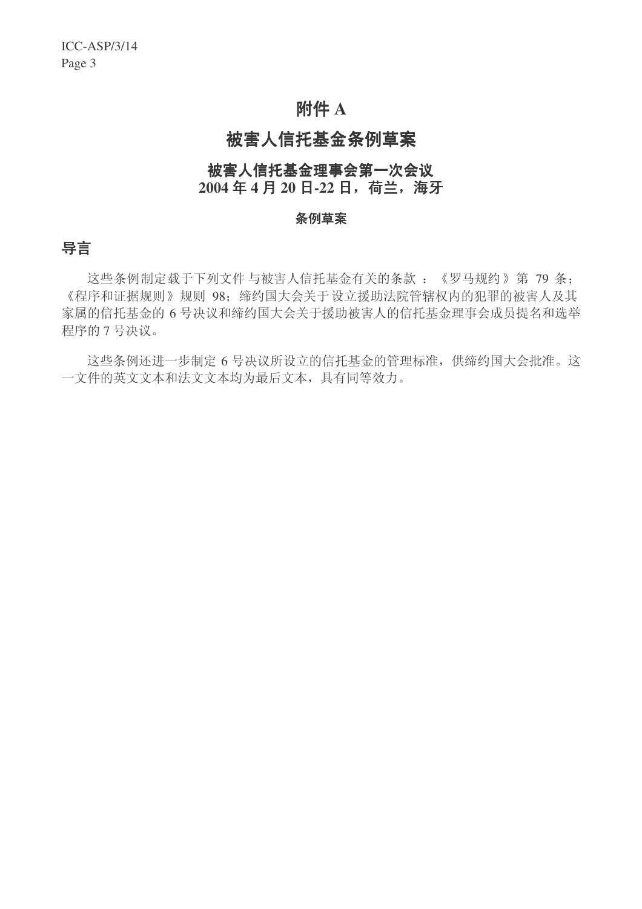## **附件 A**

# 被害人信托基金条例草案

### 被害人信托基金理事会第一次会议 2004年4月20日-22日, 荷兰, 海牙

#### 条例草案

### 导言

这些条例制定载于下列文件与被害人信托基金有关的条款:《罗马规约》第79条: 《程序和证据规则》规则 98; 缔约国大会关于设立援助法院管辖权内的犯罪的被害人及其 家属的信托基金的6号决议和缔约国大会关于援助被害人的信托基金理事会成员提名和选举 程序的7号决议。

这些条例还进一步制定6号决议所设立的信托基金的管理标准,供缔约国大会批准。这 一文件的英文文本和法文文本均为最后文本,具有同等效力。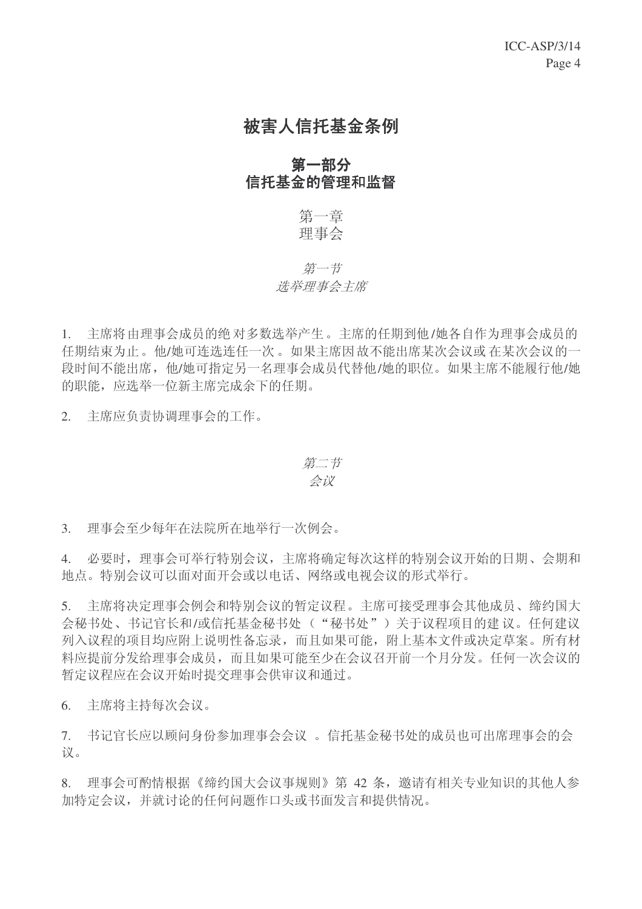# 被害人信托基金条例

### 第一部分 信托基金的管理和监督

第一章 理事会

### 第一节 选举理事会主席

1. 主席将由理事会成员的绝对多数选举产生。主席的任期到他/她各自作为理事会成员的 任期结束为止。他/她可连选连任一次。如果主席因故不能出席某次会议或在某次会议的一 段时间不能出席, 他/她可指定另一名理事会成员代替他/她的职位。如果主席不能履行他/她 的职能, 应选举一位新主席完成余下的任期。

2. 主席应负责协调理事会的工作。

### 第二节 会议

3. 理事会至少每年在法院所在地举行一次例会。

4. 必要时,理事会可举行特别会议,主席将确定每次这样的特别会议开始的日期、会期和 地点。特别会议可以面对面开会或以电话、网络或电视会议的形式举行。

5. 主席将决定理事会例会和特别会议的暂定议程。主席可接受理事会其他成员、缔约国大 会秘书处、书记官长和/或信托基金秘书处("秘书处")关于议程项目的建议。任何建议 列入议程的项目均应附上说明性备忘录,而且如果可能,附上基本文件或决定草案。所有材 料应提前分发给理事会成员,而且如果可能至少在会议召开前一个月分发。任何一次会议的 暂定议程应在会议开始时提交理事会供审议和通过。

6. 主席将主持每次会议。

7. 书记官长应以顾问身份参加理事会会议。信托基金秘书处的成员也可出席理事会的会 议。

8. 理事会可酌情根据《缔约国大会议事规则》第 42 条, 邀请有相关专业知识的其他人参 加特定会议,并就讨论的任何问题作口头或书面发言和提供情况。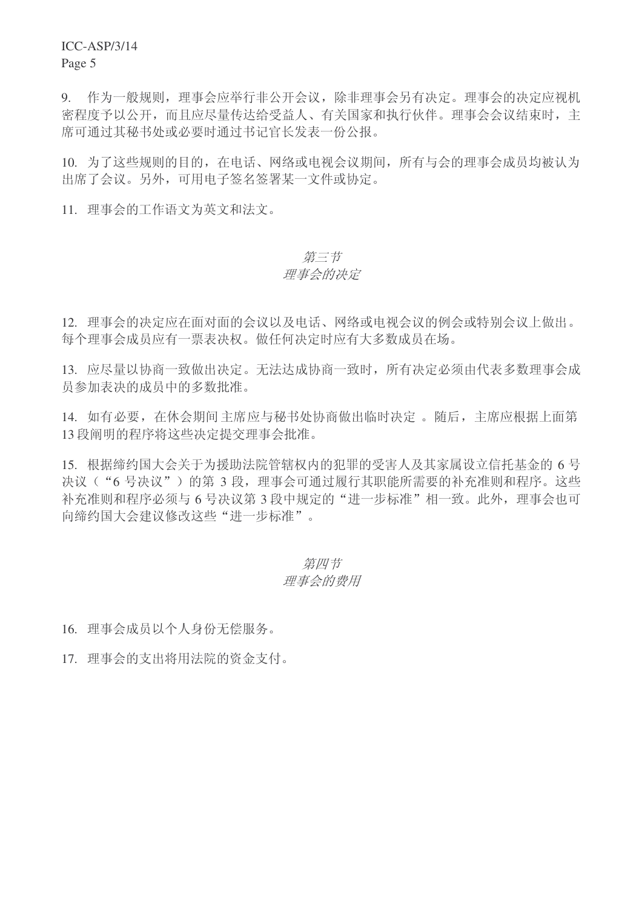ICC-ASP/3/14

Page 5

9. 作为一般规则,理事会应举行非公开会议,除非理事会另有决定。理事会的决定应视机 密程度予以公开,而且应尽量传达给受益人、有关国家和执行伙伴。理事会会议结束时,主 席可通过其秘书处或必要时通过书记官长发表一份公报。

10. 为了这些规则的目的, 在电话、网络或电视会议期间, 所有与会的理事会成员均被认为 出席了会议。另外,可用电子签名签署某一文件或协定。

11. 理事会的工作语文为英文和法文。

### 第三节

### 理事会的决定

12. 理事会的决定应在面对面的会议以及电话、网络或电视会议的例会或特别会议上做出。 每个理事会成员应有一票表决权。做任何决定时应有大多数成员在场。

13. 应尽量以协商一致做出决定。无法达成协商一致时, 所有决定必须由代表多数理事会成 员参加表决的成员中的多数批准。

14. 如有必要, 在休会期间主席应与秘书处协商做出临时决定。随后, 主席应根据上面第 13 段阐明的程序将这些决定提交理事会批准。

15. 根据缔约国大会关于为援助法院管辖权内的犯罪的受害人及其家属设立信托基金的 6号 决议("6号决议")的第3段,理事会可通过履行其职能所需要的补充准则和程序。这些 补充准则和程序必须与6号决议第3段中规定的"进一步标准"相一致。此外,理事会也可 向缔约国大会建议修改这些"进一步标准"。

### 第四节 理事会的费用

16. 理事会成员以个人身份无偿服务。

17. 理事会的支出将用法院的资金支付。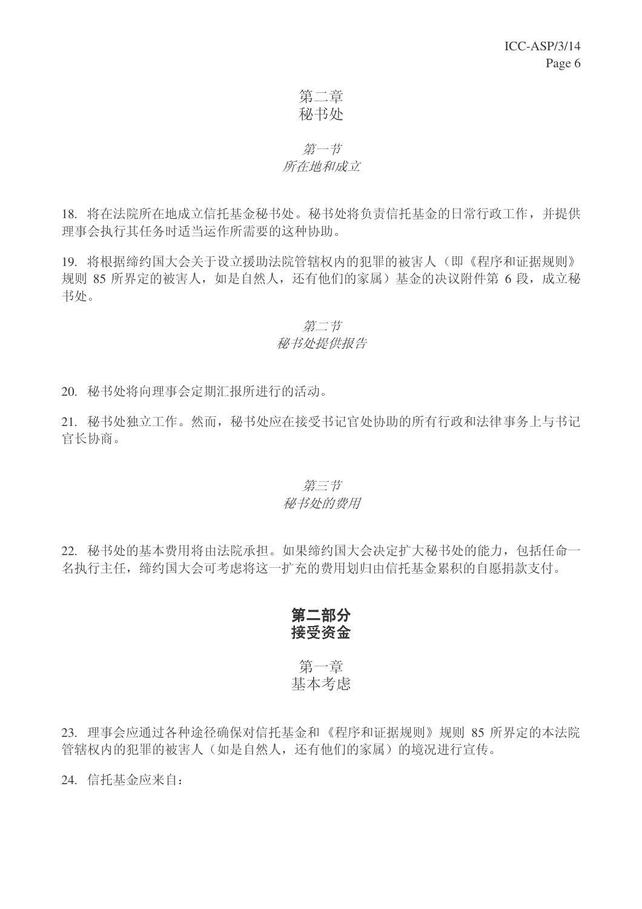### 第二章 秘书处

### 第一节 所在地和成立

18. 将在法院所在地成立信托基金秘书处。秘书处将负责信托基金的日常行政工作,并提供 理事会执行其任务时适当运作所需要的这种协助。

19. 将根据缔约国大会关于设立援助法院管辖权内的犯罪的被害人(即《程序和证据规则》 规则 85 所界定的被害人, 如是自然人, 还有他们的家属) 基金的决议附件第 6 段, 成立秘 书处。

### 第二节 秘书处提供报告

20. 秘书处将向理事会定期汇报所讲行的活动。

21. 秘书处独立工作。然而, 秘书处应在接受书记官处协助的所有行政和法律事务上与书记 官长协商。

### 第三节 秘书处的费用

22. 秘书处的基本费用将由法院承担。如果缔约国大会决定扩大秘书处的能力, 包括任命一 名执行主任, 缔约国大会可考虑将这一扩充的费用划归由信托基金累积的自愿捐款支付。

### 第二部分 接受咨金

### 第一章 基本考虑

23. 理事会应通过各种途径确保对信托基金和《程序和证据规则》规则 85 所界定的本法院 管辖权内的犯罪的被害人(如是自然人,还有他们的家属)的境况进行宣传。

24. 信托基金应来自: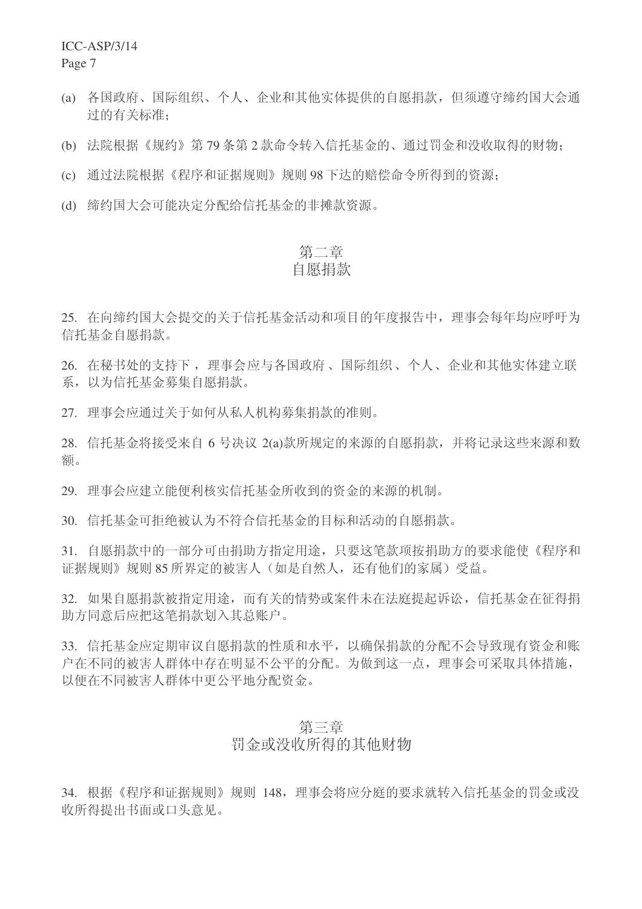ICC-ASP/3/14

Page 7

- (a) 各国政府、国际组织、个人、企业和其他实体提供的自愿捐款, 但须遵守缔约国大会通 讨的有关标准:
- (b) 法院根据《规约》第79条第2款命令转入信托基金的、通过罚金和没收取得的财物;
- (c) 通过法院根据《程序和证据规则》规则 98 下达的赔偿命令所得到的资源:
- (d) 缔约国大会可能决定分配给信托基金的非摊款资源。

# 第二章

## 白愿捐款

25. 在向缔约国大会提交的关于信托基金活动和项目的年度报告中, 理事会每年均应呼吁为 信托基金自愿捐款。

26. 在秘书处的支持下, 理事会应与各国政府、国际组织、个人、企业和其他实体建立联 系, 以为信托基金募集自愿捐款。

27. 理事会应通过关于如何从私人机构募集捐款的准则。

28. 信托基金将接受来自 6 号决议 2(a)款所规定的来源的自愿捐款, 并将记录这些来源和数 额。

29. 理事会应建立能便利核实信托基金所收到的资金的来源的机制。

30. 信托基金可拒绝被认为不符合信托基金的目标和活动的自愿捐款。

31. 自愿捐款中的一部分可由捐助方指定用途, 只要这笔款项按捐助方的要求能使《程序和 证据规则》规则85 所界定的被害人(如是自然人,还有他们的家属)受益。

32. 如果自愿捐款被指定用途,而有关的情势或案件未在法庭提起诉讼,信托基金在征得捐 助方同意后应把这笔捐款划入基总账户。

33. 信托基金应定期审议自愿捐款的性质和水平, 以确保捐款的分配不会导致现有资金和账 户在不同的被害人群体中存在明显不公平的分配。为做到这一点, 理事会可采取具体措施, 以便在不同被害人群体中更公平地分配资金。

### 第三章

### 罚金或没收所得的其他财物

34. 根据《程序和证据规则》规则 148, 理事会将应分庭的要求就转入信托基金的罚金或没 收所得提出书面或口头意见。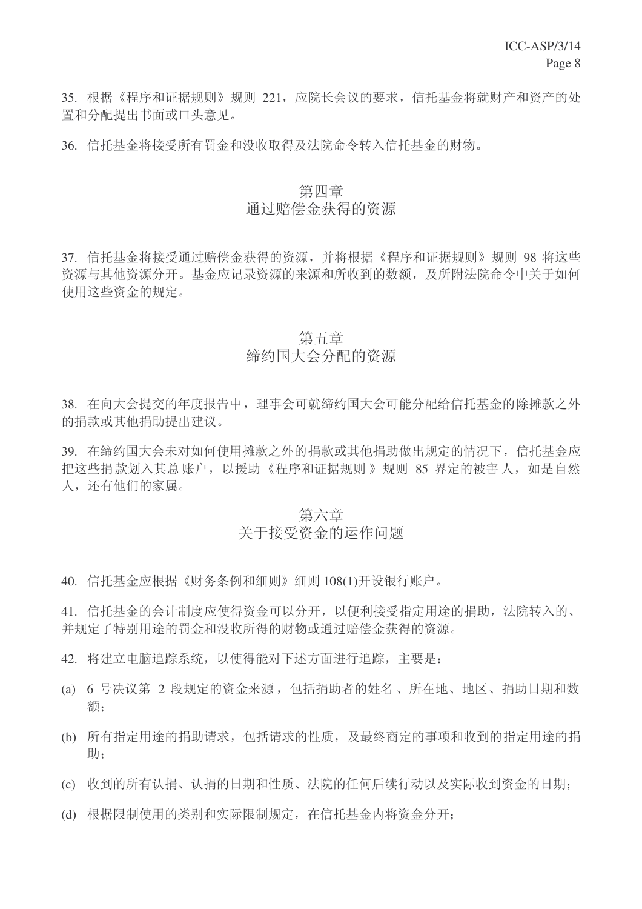35. 根据《程序和证据规则》规则 221, 应院长会议的要求, 信托基金将就财产和资产的处 置和分配提出书面或口头意见。

36. 信托基金将接受所有罚金和没收取得及法院命令转入信托基金的财物。

### 第四章 通过赔偿杂得的资源

37. 信托基金将接受通过赔偿金获得的资源,并将根据《程序和证据规则》规则 98 将这些 资源与其他资源分开。基金应记录资源的来源和所收到的数额,及所附法院命令中关于如何 使用这些资金的规定。

#### 第五章

# 缔约国大会分配的资源

38. 在向大会提交的年度报告中, 理事会可就缔约国大会可能分配给信托基金的除摊款之外 的捐款或其他捐助提出建议。

39. 在缔约国大会未对如何使用摊款之外的捐款或其他捐助做出规定的情况下, 信托基金应 把这些捐款划入其总账户,以援助《程序和证据规则》规则 85 界定的被害人,如是自然 人,还有他们的家属。

### 第六章

### 关于接受资金的运作问题

40. 信托基金应根据《财务条例和细则》细则 108(1)开设银行账户。

41. 信托基金的会计制度应使得资金可以分开, 以便利接受指定用途的捐助, 法院转入的、 并规定了特别用途的罚金和没收所得的财物或通过赔偿金获得的资源。

- 42. 将建立电脑追踪系统, 以使得能对下述方面讲行追踪, 主要是:
- (a) 6 号决议第 2 段规定的资金来源, 包括捐助者的姓名、所在地、地区、捐助日期和数 乱˗
- (b) 所有指定用途的捐助请求, 包括请求的性质, 及最终商定的事项和收到的指定用途的捐 助:
- (c) 收到的所有认捐、认捐的日期和性质、法院的任何后续行动以及实际收到资金的日期:
- (d) 根据限制使用的类别和实际限制规定, 在信托基金内将资金分开: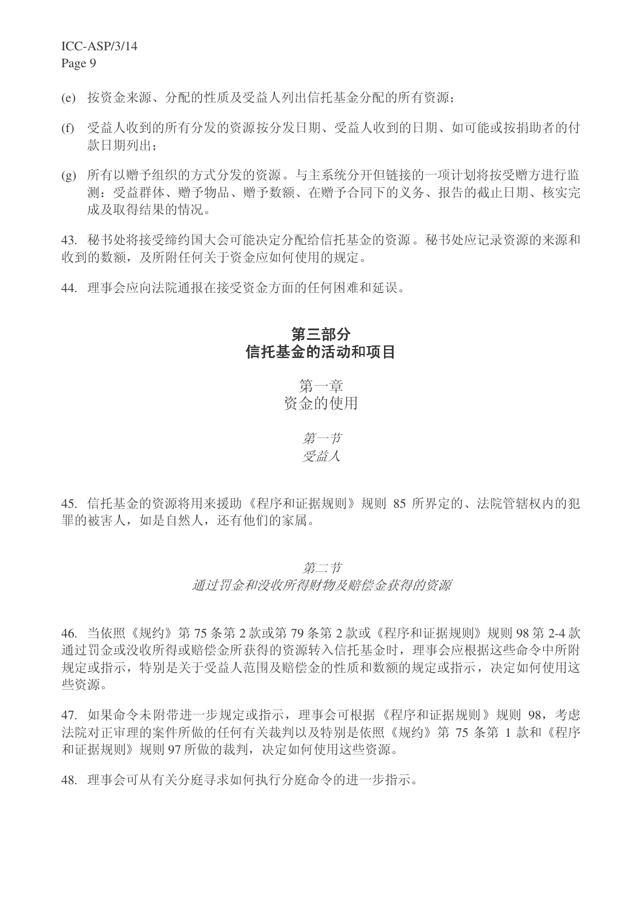ICC-ASP/3/14

Page 9

(e) 按资金来源、分配的性质及受益人列出信托基金分配的所有资源:

- (f) 受益人收到的所有分发的资源按分发日期、受益人收到的日期、如可能或按捐助者的付 款日期列出:
- (g) 所有以赠予组织的方式分发的资源。与主系统分开但链接的一项计划将按受赠方讲行监 测: 受益群体、赠予物品、赠予数额、在赠予合同下的义务、报告的截止日期、核实完 成及取得结果的情况。

43. 秘书处将接受缔约国大会可能决定分配给信托基金的资源。秘书处应记录资源的来源和 收到的数额, 及所附任何关于资金应如何使用的规定。

44. 理事会应向法院通报在接受资金方面的任何困难和延误。

## 第三部分 信托基金的活动和项目

第一章 资金的使用

> 第一节 受益人

45. 信托基金的资源将用来援助《程序和证据规则》规则 85 所界定的、法院管辖权内的犯 罪的被害人,如是自然人,还有他们的家属。

### 第二节 通讨罚金和没收所得财物及赔偿金获得的资源

46. 当依照《规约》第75条第2款或第79条第2款或《程序和证据规则》规则98 第2-4 款 通过罚金或没收所得或赔偿金所获得的资源转入信托基金时, 理事会应根据这些命令中所附 规定或指示, 特别是关于受益人范围及赔偿金的性质和数额的规定或指示, 决定如何使用这 些资源。

47. 如果命令未附带进一步规定或指示, 理事会可根据《程序和证据规则》规则 98, 考虑 法院对正审理的案件所做的任何有关裁判以及特别是依照《规约》第75条第1款和《程序 和证据规则》规则97 所做的裁判, 决定如何使用这些资源。

48. 理事会可从有关分庭寻求如何执行分庭命令的讲一步指示。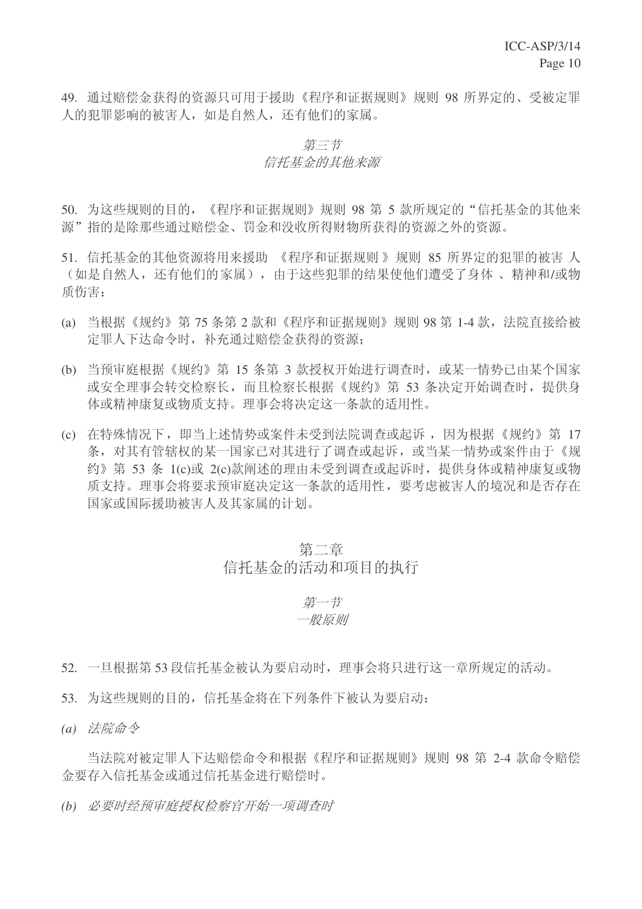49. 通过赔偿金获得的资源只可用于援助《程序和证据规则》规则 98 所界定的、受被定罪 人的犯罪影响的被害人,如是自然人,还有他们的家属。

### 第三节 信托基金的其他来源

50. 为这些规则的目的, 《程序和证据规则》规则 98 第 5 款所规定的"信托基金的其他来 源"指的是除那些通过赔偿金、罚金和没收所得财物所获得的资源之外的资源。

- 51. 信托基金的其他资源将用来援助 《程序和证据规则》规则 85 所界定的犯罪的被害 人 (如是自然人, 还有他们的家属), 由于这些犯罪的结果使他们遭受了身体、精神和/或物 质伤害:
- (a) 当根据《规约》第 75 条第 2 款和《程序和证据规则》规则 98 第 1-4 款,法院直接给被 定罪人下达命令时, 补充通过赔偿金获得的资源:
- (b) 当预审庭根据《规约》第 15 条第 3 款授权开始进行调查时, 或某一情势已由某个国家 或安全理事会转交检察长,而且检察长根据《规约》第53条决定开始调查时,提供身 体或精神康复或物质支持。理事会将决定这一条款的适用性。
- (c) 在特殊情况下, 即当上述情势或案件未受到法院调查或起诉, 因为根据《规约》第 17 条, 对其有管辖权的某一国家已对其讲行了调查或起诉, 或当某一情势或案件由于《规 约》第 53 条 1(c)或 2(c)款阐述的理由未受到调杳或起诉时, 提供身体或精神康复或物 质支持。理事会将要求预审庭决定这一条款的适用性,要考虑被害人的境况和是否存在 国家或国际援助被害人及其家属的计划。

### 第二章 信托基金的活动和项目的执行

### 第一节 一般原则

- 52. 一旦根据第53 段信托基金被认为要启动时, 理事会将只进行这一章所规定的活动。
- 53. 为这些规则的目的, 信托基金将在下列条件下被认为要启动:
- (a) 法院命令

当法院对被定罪人下达赔偿命令和根据《程序和证据规则》规则 98 第 2-4 款命令赔偿 金要存入信托基金或通过信托基金讲行赔偿时。

(b) 必要时经预审庭授权检察官开始一项调查时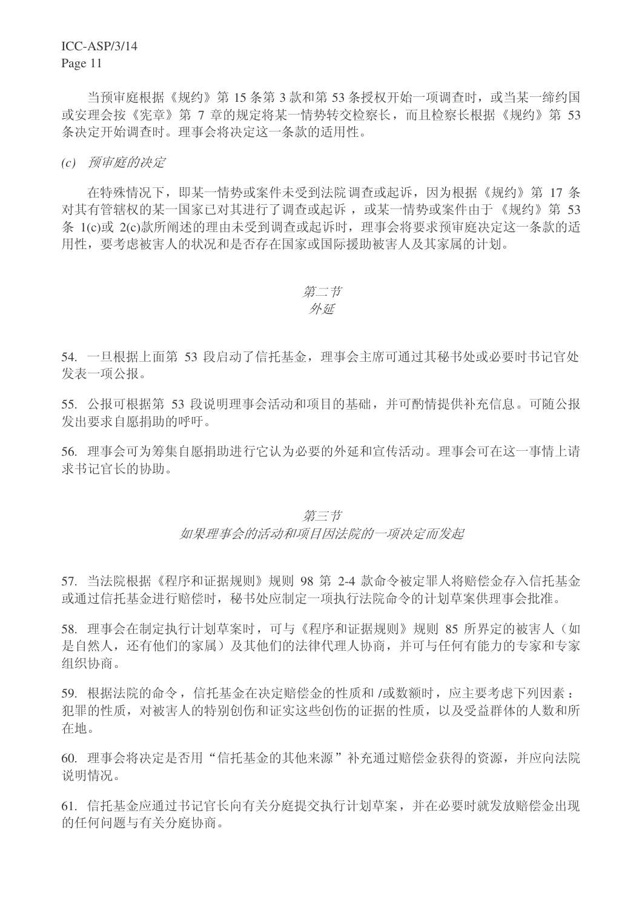ICC-ASP/3/14

Page 11

当预审庭根据《规约》第15 条第3款和第53 条授权开始一项调查时, 或当某一缔约国 或安理会按《宪章》第7 章的规定将某一情势转交检察长,而且检察长根据《规约》第 53 条决定开始调查时。理事会将决定这一条款的适用性。

(c) 预审庭的决定

在特殊情况下, 即某一情势或案件未受到法院调查或起诉, 因为根据《规约》第 17 条 对其有管辖权的某一国家已对其进行了调查或起诉, 或某一情势或案件由于《规约》第 53 条 1(c)或 2(c)款所阐述的理由未受到调查或起诉时, 理事会将要求预审庭决定这一条款的适 用性,要考虑被害人的状况和是否存在国家或国际援助被害人及其家属的计划。

$$
\displaystyle \not\!\!\!\!\!/ \, \dot\!\!\!\!\!/ \, \, \exists \, \vec\tau
$$

#### 外延

54. 一旦根据上面第 53 段启动了信托基金, 理事会主席可通过其秘书处或必要时书记官处 发表一项公报。

55. 公报可根据第 53 段说明理事会活动和项目的基础,并可酌情提供补充信息。可随公报 发出要求自愿捐助的呼吁。

56. 理事会可为筹集自愿捐助进行它认为必要的外延和宣传活动。理事会可在这一事情上请 求书记官长的协助。

#### 第三节

如果理事会的活动和项目因法院的一项决定而发起

57. 当法院根据《程序和证据规则》规则 98 第 2-4 款命令被定罪人将赔偿金存入信托基金 或通过信托基金讲行赔偿时, 秘书处应制定一项执行法院命令的计划草案供理事会批准。

58. 理事会在制定执行计划草案时,可与《程序和证据规则》规则 85 所界定的被害人(如 是自然人, 还有他们的家属) 及其他们的法律代理人协商, 并可与任何有能力的专家和专家 组织协商。

59. 根据法院的命令, 信托基金在决定赔偿金的性质和 /或数额时, 应主要考虑下列因素: 犯罪的性质, 对被害人的特别创伤和证实这些创伤的证据的性质, 以及受益群体的人数和所 在地。

60. 理事会将决定是否用"信托基金的其他来源"补充通过赔偿金获得的资源,并应向法院 说明情况。

61. 信托基金应通讨书记官长向有关分庭提交执行计划草案, 并在必要时就发放赔偿金出现 的任何问题与有关分庭协商。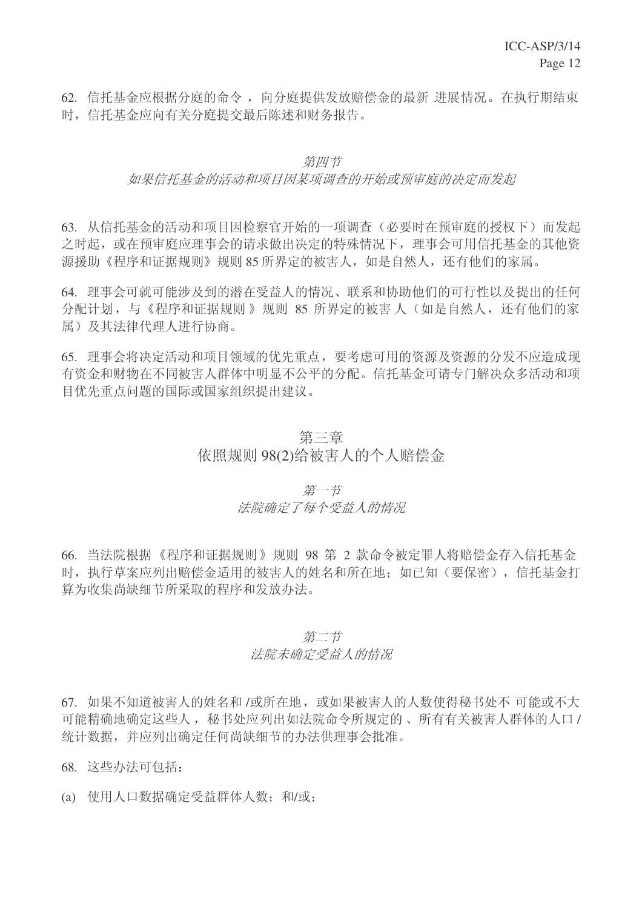62. 信托基金应根据分庭的命令, 向分庭提供发放赔偿金的最新 进展情况。在执行期结束 时, 信托基金应向有关分庭提交最后陈述和财务报告。

#### 第四节

#### 如果信托基金的活动和项目因某项调查的开始或预审庭的决定而发起

63. 从信托基金的活动和项目因检察官开始的一项调查(必要时在预审庭的授权下)而发起 之时起, 或在预审庭应理事会的请求做出决定的特殊情况下, 理事会可用信托基金的其他资 源援助《程序和证据规则》规则85 所界定的被害人,如是自然人,还有他们的家属。

64. 理事会可就可能涉及到的潜在受益人的情况、联系和协助他们的可行性以及提出的任何 分配计划, 与《程序和证据规则》规则 85 所界定的被害人(如是自然人, 还有他们的家 属)及其法律代理人讲行协商。

65. 理事会将决定活动和项目领域的优先重点, 要考虑可用的资源及资源的分发不应造成现 有资金和财物在不同被害人群体中明显不公平的分配。信托基金可请专门解决众多活动和项 目优先重点问题的国际或国家组织提出建议。

### 第三章 依照规则 98(2)给被害人的个人赔偿金

### 第一节 法院确定了每个受益人的情况

66. 当法院根据《程序和证据规则》规则 98 第 2 款命令被定罪人将赔偿金存入信托基金 时, 执行草案应列出赔偿金适用的被害人的姓名和所在地; 如已知(要保密), 信托基金打 算为收集尚缺细节所采取的程序和发放办法。

#### 第二节

#### 法院未确定受益人的情况

67. 如果不知道被害人的姓名和 /或所在地, 或如果被害人的人数使得秘书处不 可能或不大 可能精确地确定这些人, 秘书处应列出如法院命令所规定的、所有有关被害人群体的人口/ 统计数据, 并应列出确定任何尚缺细节的办法供理事会批准。

68. 这些办法可包括:

(a) 使用人口数据确定受益群体人数: 和/或: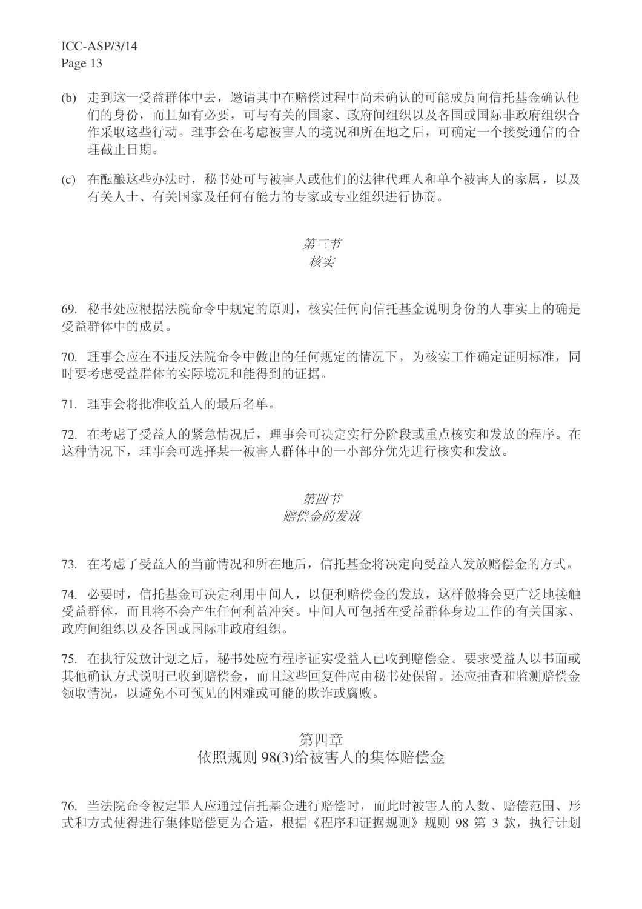ICC-ASP/3/14 Page 13

- (b) 走到这一受益群体中去, 邀请其中在赔偿过程中尚未确认的可能成员向信托基金确认他 们的身份,而且如有必要,可与有关的国家、政府间组织以及各国或国际非政府组织合 作采取这些行动。理事会在考虑被害人的境况和所在地之后,可确定一个接受通信的合 理截止日期。
- (c) 在酝酿这些办法时, 秘书处可与被害人或他们的法律代理人和单个被害人的家属, 以及 有关人士、有关国家及任何有能力的专家或专业组织讲行协商。

### 第三节 核实

69. 秘书处应根据法院命令中规定的原则, 核实任何向信托基金说明身份的人事实上的确是 受益群体中的成员。

70. 理事会应在不违反法院命令中做出的任何规定的情况下, 为核实工作确定证明标准, 同 时要考虑受益群体的实际境况和能得到的证据。

71. 理事会将批准收益人的最后名单。

72. 在考虑了受益人的紧急情况后, 理事会可决定实行分阶段或重点核实和发放的程序。在 这种情况下, 理事会可选择某一被害人群体中的一小部分优先进行核实和发放。

#### 第四节

#### 赔偿金的发放

73. 在考虑了受益人的当前情况和所在地后, 信托基金将决定向受益人发放赔偿金的方式。

74. 必要时, 信托基金可决定利用中间人, 以便利赔偿金的发放, 这样做将会更广泛地接触 受益群体,而且将不会产生任何利益冲突。中间人可包括在受益群体身边工作的有关国家、 政府间组织以及各国或国际非政府组织。

75. 在执行发放计划之后, 秘书处应有程序证实受益人已收到赔偿金。要求受益人以书面或 其他确认方式说明已收到赔偿金,而且这些回复件应由秘书处保留。还应抽查和监测赔偿金 领取情况,以避免不可预见的困难或可能的欺诈或腐败。

### 第四章 依照规则 98(3)给被害人的集体赔偿金

76. 当法院命令被定罪人应通讨信托基金讲行赔偿时,而此时被害人的人数、赔偿范围、形 式和方式使得进行集体赔偿更为合适,根据《程序和证据规则》规则 98 第 3 款,执行计划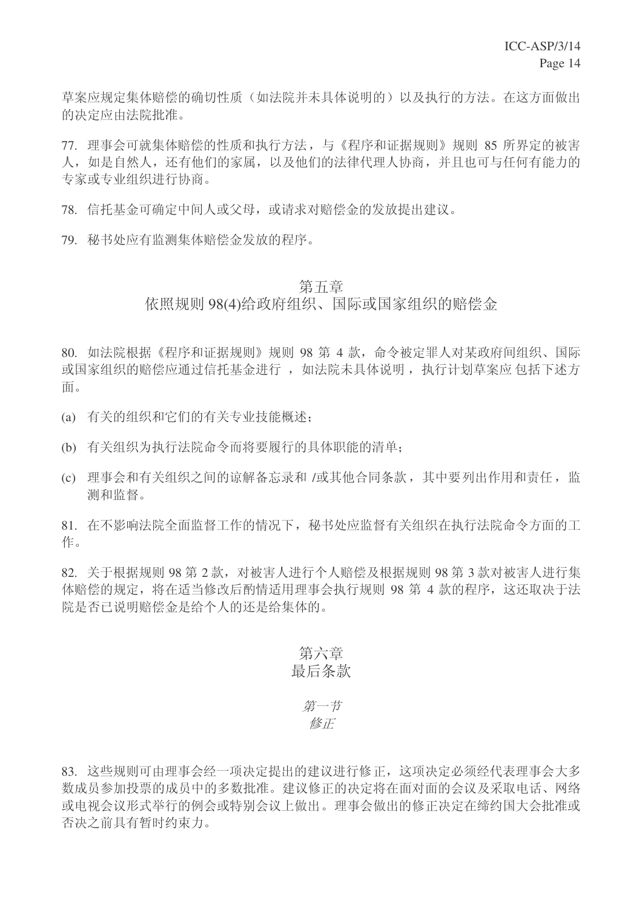草案应规定集体赔偿的确切性质(如法院并未具体说明的)以及执行的方法。在这方面做出 的决定应由法院批准。

77. 理事会可就集体赔偿的性质和执行方法, 与《程序和证据规则》规则 85 所界定的被害 人, 如是自然人, 还有他们的家属, 以及他们的法律代理人协商, 并且也可与任何有能力的 专家或专业组织进行协商。

78. 信托基金可确定中间人或父母, 或请求对赔偿金的发放提出建议。

79. 秘书处应有监测集体赔偿金发放的程序。

#### 第五章

### 依照规则 98(4)给政府组织、国际或国家组织的赔偿金

80. 如法院根据《程序和证据规则》规则 98 第 4 款, 命令被定罪人对某政府间组织、国际 或国家组织的赔偿应通过信托基金进行, 如法院未具体说明, 执行计划草案应 包括下述方 面。

- (a) 有关的组织和它们的有关专业技能概述;
- (b) 有关组织为执行法院命令而将要履行的具体职能的清单:
- (c) 理事会和有关组织之间的谅解备忘录和 /或其他合同条款, 其中要列出作用和责任, 监 测和监督。

81. 在不影响法院全面监督工作的情况下, 秘书处应监督有关组织在执行法院命令方面的工 作。

82. 关于根据规则 98 第 2 款, 对被害人进行个人赔偿及根据规则 98 第 3 款对被害人进行集 体赔偿的规定, 将在话当修改后酌情话用理事会执行规则 98 第 4 款的程序, 这还取决于法 院是否已说明赔偿金是给个人的还是给集体的。

### 第六章 最后条款

### 第一节 修正

83. 这些规则可由理事会经一项决定提出的建议进行修正, 这项决定必须经代表理事会大多 数成员参加投票的成员中的多数批准。建议修正的决定将在面对面的会议及采取电话、网络 或电视会议形式举行的例会或特别会议上做出。理事会做出的修正决定在缔约国大会批准或 否决之前具有暂时约束力。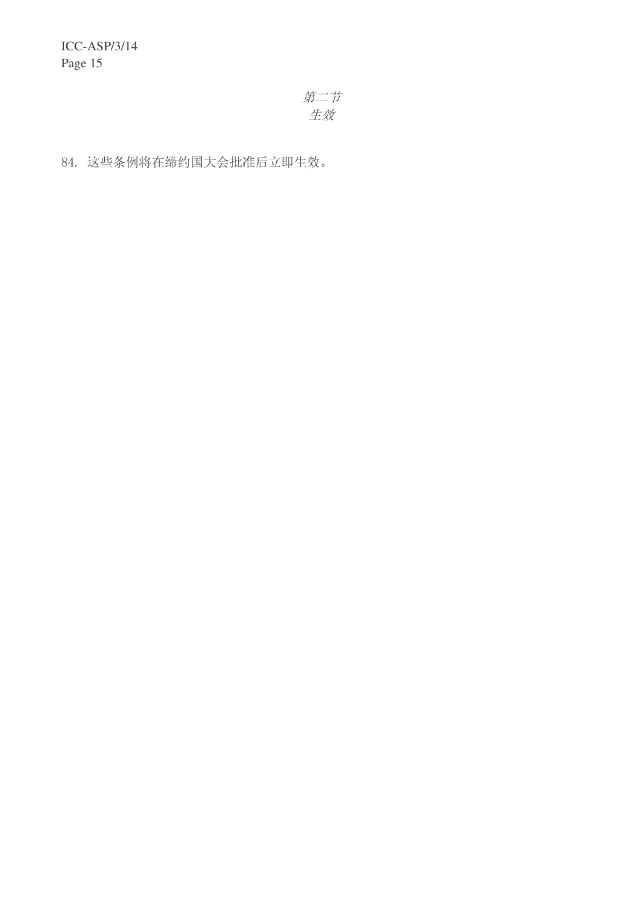ICC-ASP/3/14 Page 15

> 第二节 生效

84. 这些条例将在缔约国大会批准后立即生效。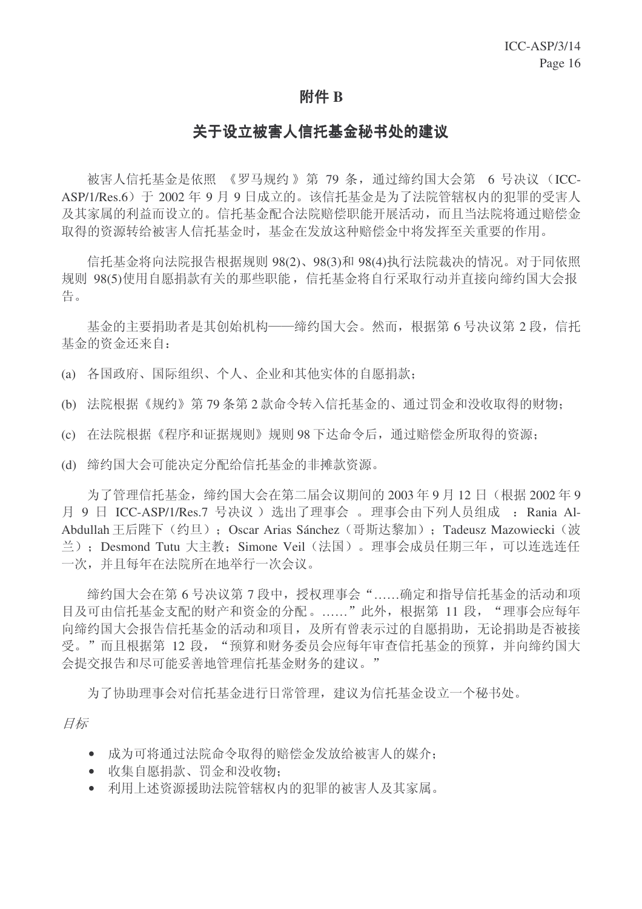### 附件 B

### 关于设立被害人信托基金秘书处的建议

被害人信托基金是依照 《罗马规约》第 79 条, 通过缔约国大会第 6 号决议 (ICC-ASP/1/Res.6) 干 2002 年 9 月 9 日成立的。该信托基金是为了法院管辖权内的犯罪的受害人 及其家属的利益而设立的。信托基金配合法院赔偿职能开展活动,而且当法院将通过赔偿金 取得的资源转给被害人信托基金时, 基金在发放这种赔偿金中将发挥至关重要的作用。

信托基金将向法院报告根据规则 98(2)、98(3)和 98(4)执行法院裁决的情况。对于同依照 规则 98(5)使用自愿捐款有关的那些职能, 信托基金将自行采取行动并直接向缔约国大会报 告。

基金的主要捐助者是其创始机构——缔约国大会。然而, 根据第6号决议第2段, 信托 基金的资金还来自:

(a) 各国政府、国际组织、个人、企业和其他实体的自愿捐款:

(b) 法院根据《规约》第79条第2款命令转入信托基金的、通过罚金和没收取得的财物;

(c) 在法院根据《程序和证据规则》规则98 下达命令后, 通过赔偿金所取得的资源:

(d) 缔约国大会可能决定分配给信托基金的非摊款资源。

为了管理信托基金, 缔约国大会在第二届会议期间的 2003年9月12日(根据 2002年9 月 9 日 ICC-ASP/1/Res.7 号决议) 选出了理事会 。理事会由下列人员组成 : Rania Al-Abdullah 王后陛下 (约旦): Oscar Arias Sánchez (哥斯达黎加): Tadeusz Mazowiecki (波 兰): Desmond Tutu 大主教: Simone Veil (法国)。理事会成员任期三年, 可以连选连任 一次,并且每年在法院所在地举行一次会议。

缔约国大会在第6号决议第7段中,授权理事会"……确定和指导信托基金的活动和项 目及可由信托基金支配的财产和资金的分配。……"此外,根据第 11 段, "理事会应每年 向缔约国大会报告信托基金的活动和项目, 及所有曾表示过的自愿捐助, 无论捐助是否被接 受。"而且根据第12 段, "预算和财务委员会应每年审查信托基金的预算, 并向缔约国大 会提交报告和尽可能妥善地管理信托基金财务的建议。"

为了协助理事会对信托基金讲行日常管理,建议为信托基金设立一个秘书处。

目标

- 成为可将通过法院命令取得的赔偿金发放给被害人的媒介:
- 收集自愿捐款、罚金和没收物:
- 利用上述资源援助法院管辖权内的犯罪的被害人及其家属。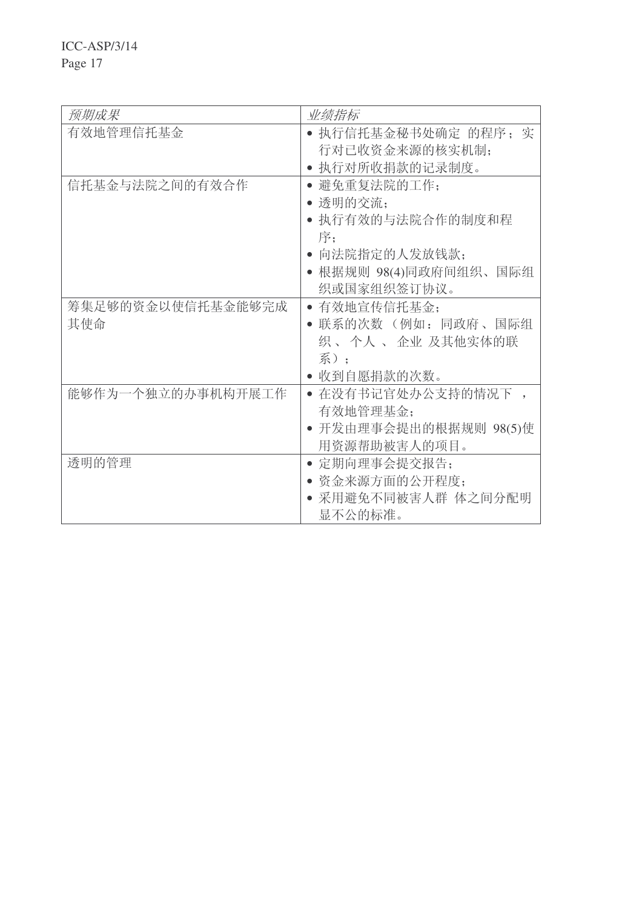ICC-ASP/3/14

Page 17

| 预期成果              | 业绩指标                   |
|-------------------|------------------------|
| 有效地管理信托基金         | • 执行信托基金秘书处确定 的程序; 实   |
|                   | 行对已收资金来源的核实机制;         |
|                   | 执行对所收捐款的记录制度。          |
| 信托基金与法院之间的有效合作    | • 避免重复法院的工作:           |
|                   | • 透明的交流;               |
|                   | ● 执行有效的与法院合作的制度和程      |
|                   | 序:                     |
|                   | 向法院指定的人发放钱款;           |
|                   | • 根据规则 98(4)同政府间组织、国际组 |
|                   | 织或国家组织签订协议。            |
| 筹集足够的资金以使信托基金能够完成 | • 有效地宣传信托基金:           |
| 其使命               | 联系的次数 (例如: 同政府、国际组     |
|                   | 织 、个人 、 企业 及其他实体的联     |
|                   | 系):                    |
|                   | 收到自愿捐款的次数。             |
| 能够作为一个独立的办事机构开展工作 | • 在没有书记官处办公支持的情况下      |
|                   | 有效地管理基金;               |
|                   | • 开发由理事会提出的根据规则 98(5)使 |
|                   | 用资源帮助被害人的项目。           |
| 诱明的管理             | • 定期向理事会提交报告:          |
|                   | 资金来源方面的公开程度;           |
|                   | • 采用避免不同被害人群 体之间分配明    |
|                   | 显不公的标准。                |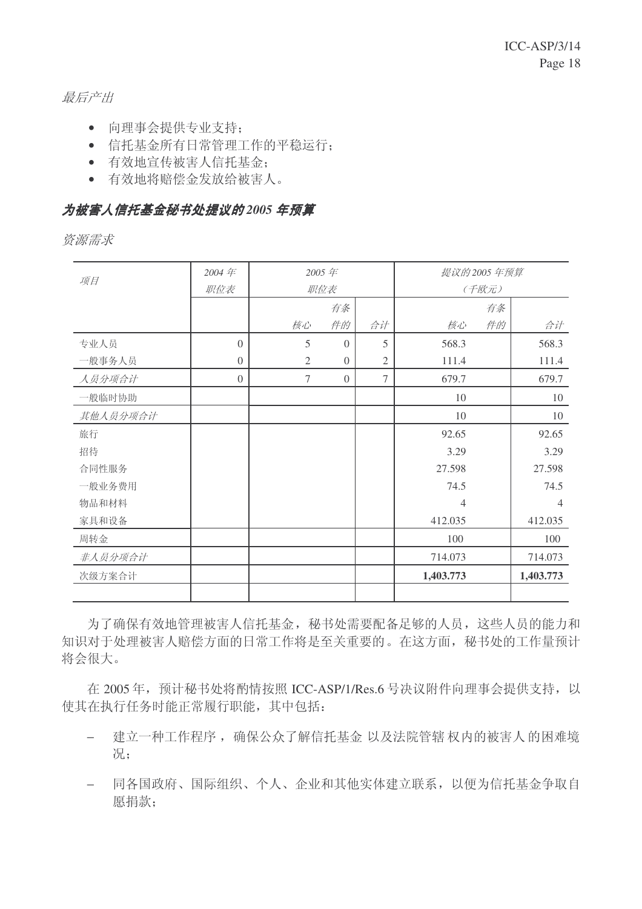最后产出

- 向理事会提供专业支持;
- 信托基金所有日常管理工作的平稳运行:
- 有效地宣传被害人信托基金:
- 有效地将赔偿金发放给被害人。

### 为被害人信托基金秘书处提议的 2005 年预算

资源需求

| 项目       | 2004年<br>职位表 | 2005年<br>职位表   |                | 提议的2005年预算     | (千欧元)          |    |                |
|----------|--------------|----------------|----------------|----------------|----------------|----|----------------|
|          |              |                | 有条             |                |                | 有条 |                |
|          |              | 核心             | 件的             | 合计             | 核心             | 件的 | 合计             |
| 专业人员     | $\Omega$     | 5              | $\Omega$       | 5              | 568.3          |    | 568.3          |
| 一般事务人员   | $\Omega$     | $\overline{2}$ | $\Omega$       | $\mathfrak{2}$ | 111.4          |    | 111.4          |
| 人员分项合计   | $\theta$     | 7              | $\overline{0}$ | 7              | 679.7          |    | 679.7          |
| 一般临时协助   |              |                |                |                | 10             |    | 10             |
| 其他人员分项合计 |              |                |                |                | 10             |    | 10             |
| 旅行       |              |                |                |                | 92.65          |    | 92.65          |
| 招待       |              |                |                |                | 3.29           |    | 3.29           |
| 合同性服务    |              |                |                |                | 27.598         |    | 27.598         |
| 一般业务费用   |              |                |                |                | 74.5           |    | 74.5           |
| 物品和材料    |              |                |                |                | $\overline{4}$ |    | $\overline{4}$ |
| 家具和设备    |              |                |                |                | 412.035        |    | 412.035        |
| 周转金      |              |                |                |                | 100            |    | 100            |
| 非人员分项合计  |              |                |                |                | 714.073        |    | 714.073        |
| 次级方案合计   |              |                |                |                | 1,403.773      |    | 1,403.773      |
|          |              |                |                |                |                |    |                |

为了确保有效地管理被害人信托基金, 秘书处需要配备足够的人员, 这些人员的能力和 知识对于处理被害人赔偿方面的日常工作将是至关重要的。在这方面, 秘书处的工作量预计 将会很大。

在 2005 年, 预计秘书处将酌情按照 ICC-ASP/1/Res.6 号决议附件向理事会提供支持, 以 使其在执行任务时能正常履行职能,其中包括:

- − 建立一种工作程序, 确保公众了解信托基金 以及法院管辖权内的被害人的困难境 况:
- − 同各国政府、国际组织、个人、企业和其他实体建立联系,以便为信托基金争取自 愿捐款;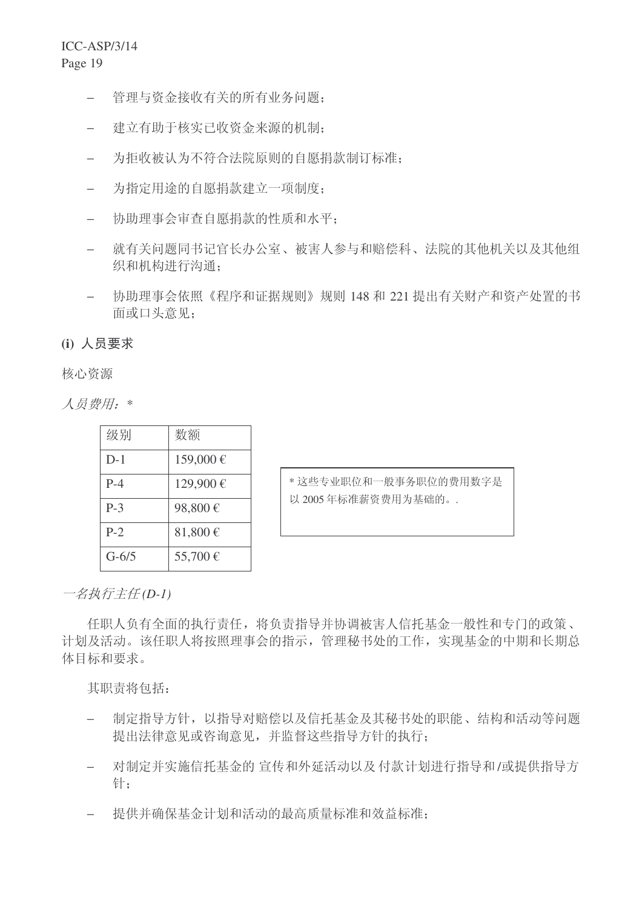- − 管理与资金接收有关的所有业务问题;
- − 建立有助于核实已收资金来源的机制;
- − 为拒收被认为不符合法院原则的自愿捐款制订标准;
- − 为指定用途的自愿捐款建立一项制度:
- 协助理事会审查自愿捐款的性质和水平;
- − 就有关问题同书记官长办公室、被害人参与和赔偿科、法院的其他机关以及其他组 织和机构进行沟通:
- − 协助理事会依照《程序和证据规则》规则 148 和 221 提出有关财产和资产处置的书 面或口头意见:

### (i) 人员要求

核心资源

人员费用: \*

| 级别      | 数额       |
|---------|----------|
| $D-1$   | 159,000€ |
| $P-4$   | 129,900€ |
| $P-3$   | 98,800€  |
| $P-2$   | 81,800€  |
| $G-6/5$ | 55,700€  |

\* 这些专业职位和一般事务职位的费用数字是 以 2005 年标准薪资费用为基础的。.

一*名执行主任 (D-1)* 

任职人负有全面的执行责任, 将负责指导并协调被害人信托基金一般性和专门的政策、 计划及活动。该任职人将按照理事会的指示,管理秘书处的工作,实现基金的中期和长期总 体目标和要求。

其职责将句括:

- 制定指导方针,以指导对赔偿以及信托基金及其秘书处的职能、结构和活动等问题 提出法律意见或咨询意见,并监督这些指导方针的执行;
- 对制定并实施信托基金的 宣传和外延活动以及 付款计划讲行指导和/或提供指导方 针;
- − 提供并确保基金计划和活动的最高质量标准和效益标准: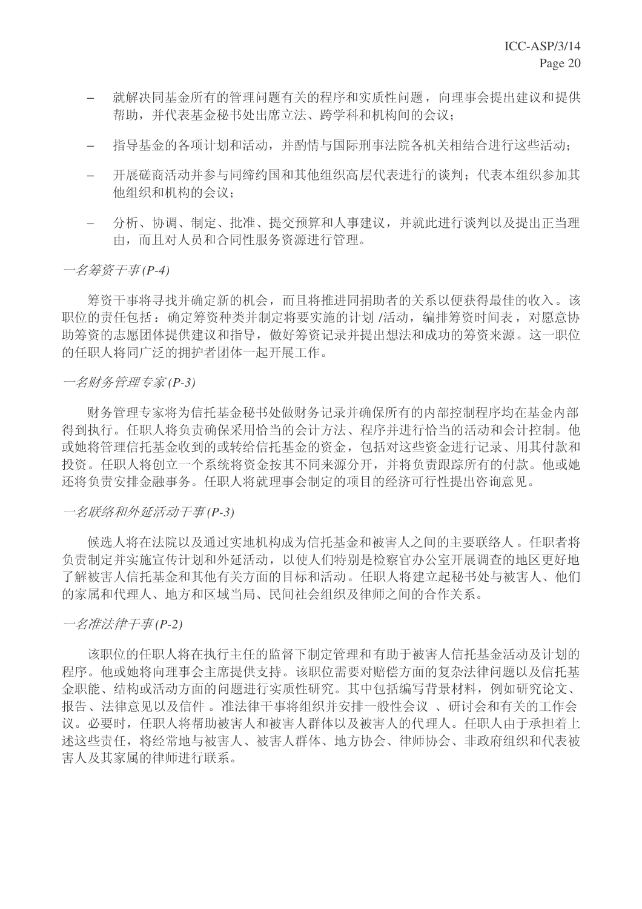- 就解决同基金所有的管理问题有关的程序和实质性问题,向理事会提出建议和提供 帮助,并代表基金秘书处出席立法、跨学科和机构间的会议:
- 拾导基金的各项计划和活动,并酌情与国际刑事法院各机关相结合讲行这些活动:
- − 开展磋商活动并参与同缔约国和其他组织高层代表讲行的谈判: 代表本组织参加其 他组织和机构的会议;
- − 分析、协调、制定、批准、提交预算和人事建议,并就此进行谈判以及提出正当理 由, 而且对人员和合同性服务资源进行管理。

一名筹资于事(P-4)

筹资于事将寻找并确定新的机会,而且将推进同捐助者的关系以便获得最佳的收入。该 职位的责任包括: 确定筹资种类并制定将要实施的计划 /活动, 编排筹资时间表, 对愿意协 助筹资的志愿团体提供建议和指导,做好筹资记录并提出想法和成功的筹资来源。这一职位 的任职人将同广泛的拥护者团体一起开展工作。

#### 一名财务管理专家(P-3)

财务管理专家将为信托基金秘书处做财务记录并确保所有的内部控制程序均在基金内部 得到执行。任职人将负责确保采用恰当的会计方法、程序并进行恰当的活动和会计控制。他 或她将管理信托基金收到的或转给信托基金的资金, 包括对这些资金进行记录、用其付款和 投资。任职人将创立一个系统将资金按其不同来源分开, 并将负责跟踪所有的付款。他或她 还将负责安排金融事务。任职人将就理事会制定的项目的经济可行性提出咨询意见。

#### 一名联络和外征活动干事(P-3)

候选人将在法院以及通过实地机构成为信托基金和被害人之间的主要联络人。任职者将 负责制定并实施宣传计划和外延活动,以使人们特别是检察官办公室开展调查的地区更好地 了解被害人信托基金和其他有关方面的目标和活动。任职人将建立起秘书处与被害人、他们 的家属和代理人、地方和区域当局、民间社会组织及律师之间的合作关系。

#### 一名准法律干事(P-2)

该职位的任职人将在执行主任的监督下制定管理和有助于被害人信托基金活动及计划的 程序。他或她将向理事会主席提供支持。该职位需要对赔偿方面的复杂法律问题以及信托基 金职能、结构或活动方面的问题进行实质性研究。其中包括编写背景材料,例如研究论文、 报告、法律意见以及信件。准法律于事将组织并安排一般性会议、研讨会和有关的工作会 议。必要时, 任职人将帮助被害人和被害人群体以及被害人的代理人。任职人由于承担着上 述这些责任, 将经常地与被害人、被害人群体、地方协会、律师协会、非政府组织和代表被 害人及其家属的律师讲行联系。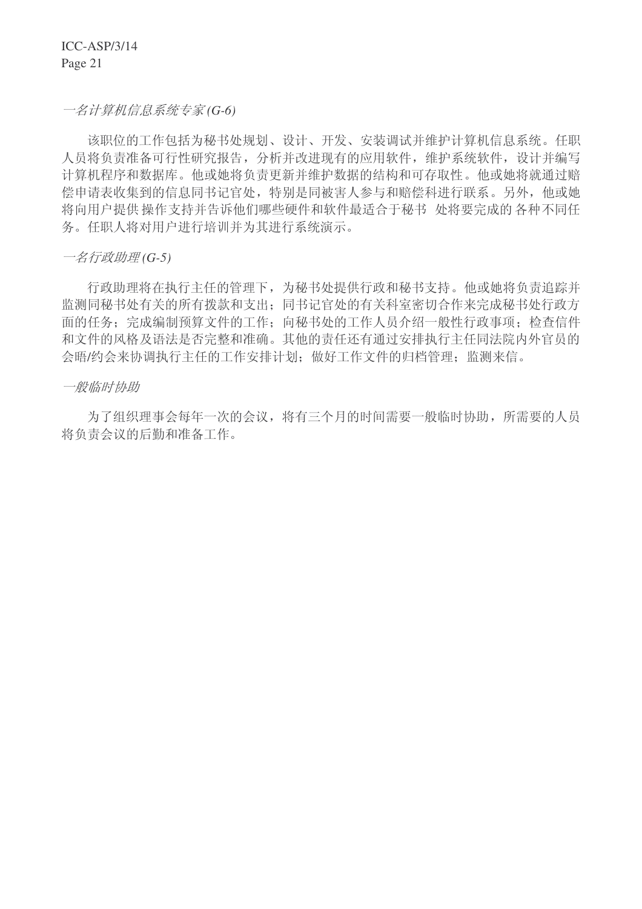ICC-ASP/3/14 Page 21

一名计算机信息系统专家(G-6)

该职位的工作包括为秘书处规划、设计、开发、安装调试并维护计算机信息系统。任职 人员将负责准备可行性研究报告,分析并改进现有的应用软件,维护系统软件,设计并编写 计算机程序和数据信う赞称将在清更新并维护数据的结构和可存取性。他或她将就通过赔 偿申请表收集到的信息同书记官处,特别是同被害人参与和赔偿科进行联系。另外,他或她 将向用户提供 操作支持并告诉他们哪些硬件和软件最适合于秘书 处将要完成的各种不同任 务。任职人将对用户进行培训并为其进行系统演示。

一名行政助理(G-5)

行政助理将在执行主任的管理下,为秘书处提供行政和秘书支持。他或她将负责追踪并 监测同秘书处有关的所有拨款和支出:同书记官处的有关科室密切合作来完成秘书处行政方 面的任务; 完成编制预算文件的工作; 向秘书处的工作人员介绍一般性行政事项; 检查信件 和文件的风格及语法是否完整和准确。其他的责任还有通过安排执行主任同法院内外官员的 会晤/约会来协调执行主任的工作安排计划; 做好工作文件的归档管理; 监测来信。

一般临时协助

为了组织理事会每年一次的会议, 将有三个月的时间需要一般临时协助, 所需要的人员 将负责会议的后勤和准备工作。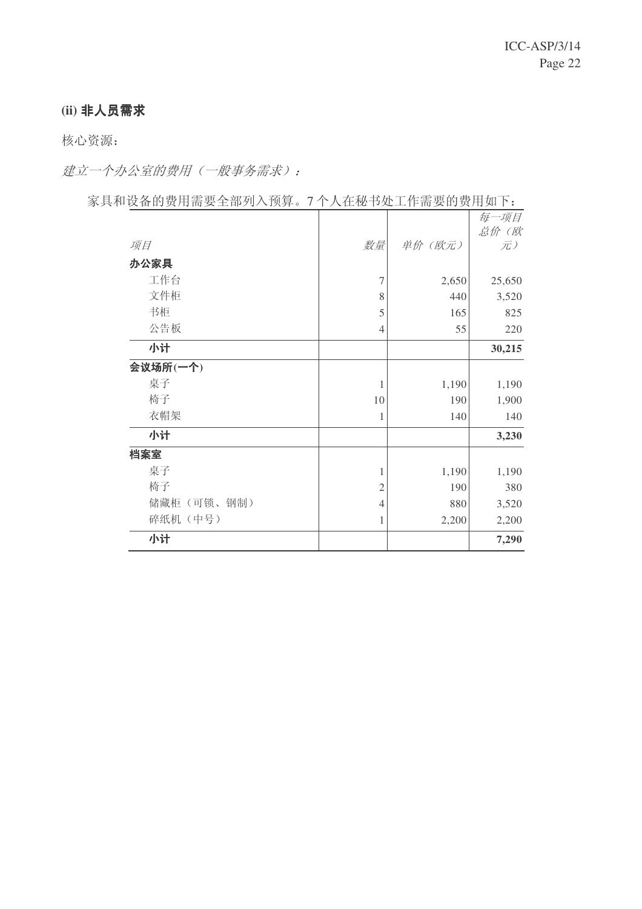### (ii) 非人员需求

核心资源:

建立一个办公室的费用(一般事务需求):

家具和设备的费用需要全部列入预算。7个人在秘书处工作需要的费用如下:

|             |                |         | 每一项目       |
|-------------|----------------|---------|------------|
| 项目          | 数量             | 单价 (欧元) | 总价(欧<br>元) |
| 办公家具        |                |         |            |
| 工作台         | $\overline{7}$ | 2,650   | 25,650     |
| 文件柜         | 8              | 440     | 3,520      |
| 书柜          | 5              | 165     | 825        |
| 公告板         | $\overline{4}$ | 55      | 220        |
| 小计          |                |         | 30,215     |
| 会议场所(一个)    |                |         |            |
| 桌子          | 1              | 1,190   | 1,190      |
| 椅子          | 10             | 190     | 1,900      |
| 衣帽架         | 1              | 140     | 140        |
| 小计          |                |         | 3,230      |
| 档案室         |                |         |            |
| 桌子          | 1              | 1,190   | 1,190      |
| 椅子          | $\overline{2}$ | 190     | 380        |
| 储藏柜 (可锁、钢制) | $\overline{4}$ | 880     | 3,520      |
| 碎纸机(中号)     | 1              | 2,200   | 2,200      |
| 小计          |                |         | 7,290      |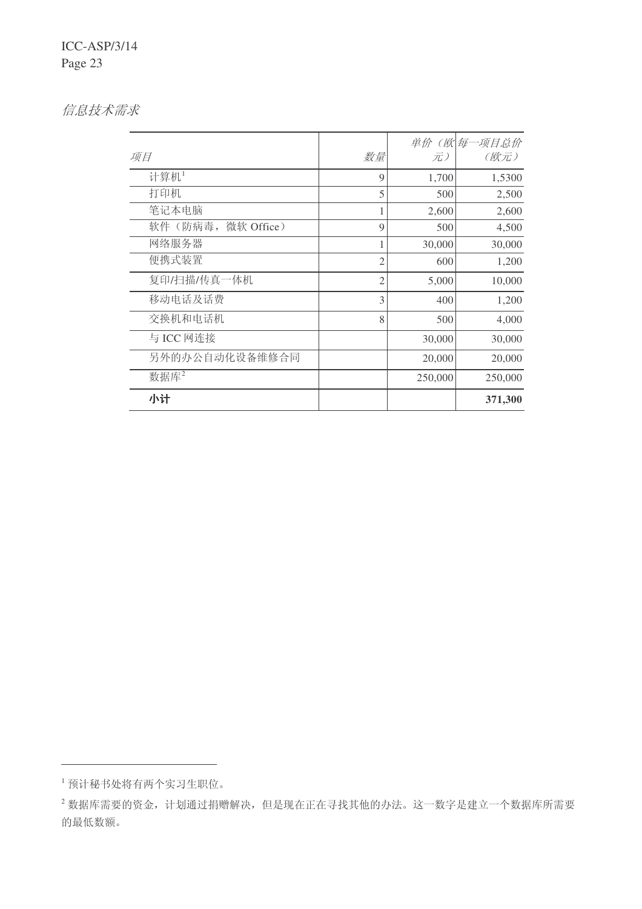信息技术需求

| 项目                    | 数量             | 元)      | 单价 (欧 每一项目总价<br>(欧元) |
|-----------------------|----------------|---------|----------------------|
| 计算机1                  | 9              | 1,700   | 1,5300               |
| 打印机                   | 5              | 500     | 2,500                |
| 笔记本电脑                 |                | 2,600   | 2,600                |
| 软件(防病毒,<br>微软 Office) | 9              | 500     | 4,500                |
| 网络服务器                 |                | 30,000  | 30,000               |
| 便携式装置                 | $\overline{c}$ | 600     | 1,200                |
| 复印/扫描/传真一体机           | $\overline{c}$ | 5,000   | 10,000               |
| 移动电话及话费               | 3              | 400     | 1,200                |
| 交换机和电话机               | 8              | 500     | 4,000                |
| 与 ICC 网连接             |                | 30,000  | 30,000               |
| 另外的办公自动化设备维修合同        |                | 20,000  | 20,000               |
| 数据库2                  |                | 250,000 | 250,000              |
| 小计                    |                |         | 371,300              |

<sup>1</sup> 预计秘书处将有两个实习生职位。

 $^{-2}$ 数据库需要的资金, 计划通过捐赠解决, 但是现在正在寻找其他的办法。这一数字是建立一个数据库所需要 的最低数额。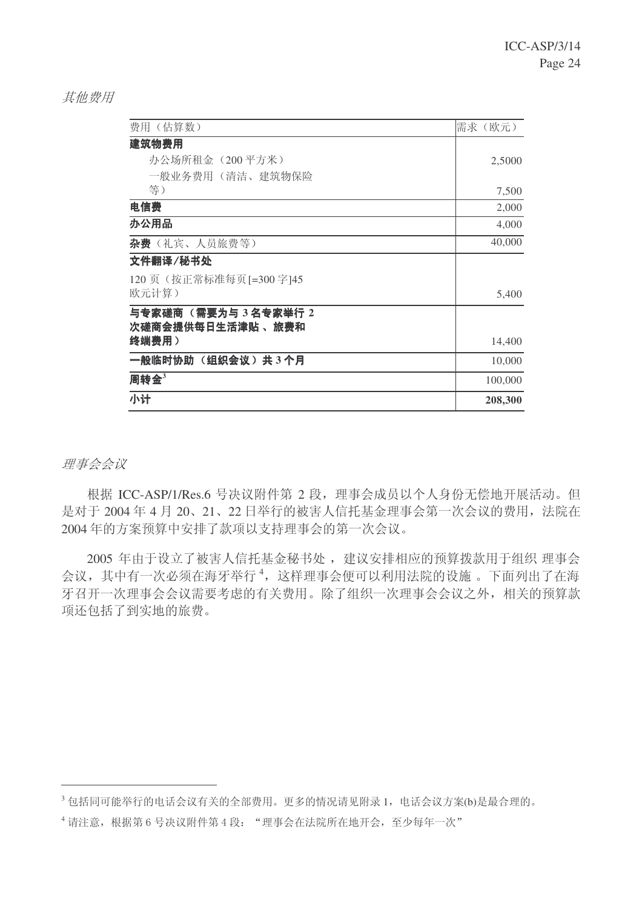**其他费用** 

| 费用(估算数)                   | 需求<br>(欧元) |
|---------------------------|------------|
| 建筑物费用                     |            |
| 办公场所租金 (200平方米)           | 2,5000     |
| 一般业务费用(清洁、建筑物保险           |            |
| 等)                        | 7,500      |
| 电信费                       | 2,000      |
| 办公用品                      | 4,000      |
| 杂费 (礼宾、人员旅费等)             | 40,000     |
| 文件翻译/秘书处                  |            |
| 120 页 (按正常标准每页 [=300 字]45 |            |
| 欧元计算)                     | 5,400      |
| 与专家磋商 (需要为与 3名专家举行 2      |            |
| 次磋商会提供每日生活津贴 、旅费和         |            |
| 终端费用)                     | 14,400     |
| 一般临时协助(组织会议)共3个月          | 10,000     |
| 周转金 $3$                   | 100,000    |
| 小计                        | 208,300    |

### 理事会会议

根据 ICC-ASP/1/Res.6 号决议附件第 2 段, 理事会成员以个人身份无偿地开展活动。但 是对于 2004年4月 20、21、22日举行的被害人信托基金理事会第一次会议的费用, 法院在 2004年的方案预算中安排了款项以支持理事会的第一次会议。

2005 年由于设立了被害人信托基金秘书处, 建议安排相应的预算拨款用于组织 理事会 会议, 其中有一次必须在海牙举行<sup>4</sup>, 这样理事会便可以利用法院的设施。下面列出了在海 牙召开一次理事会会议需要考虑的有关费用。除了组织一次理事会会议之外,相关的预算款 项还包括了到实地的旅费。

 $3$ 包括同可能举行的电话会议有关的全部费用。更多的情况请见附录1,电话会议方案(b)是最合理的。

<sup>4</sup> 请注意, 根据第6号决议附件第4段: "理事会在法院所在地开会, 至少每年一次"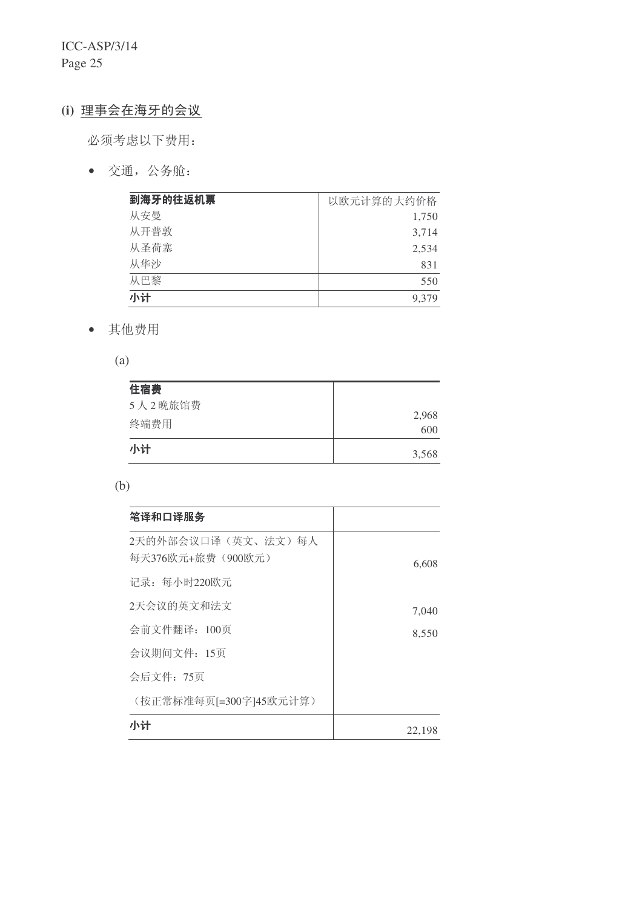ICC-ASP/3/14 Page 25

### (i) 理事会在海牙的会议

必须考虑以下费用:

• 交通, 公务舱:

| 到海牙的往返机票 | 以欧元计算的大约价格 |
|----------|------------|
| 从安曼      | 1,750      |
| 从开普敦     | 3,714      |
| 从圣荷寨     | 2,534      |
| 从华沙      | 831        |
| 从巴黎      | 550        |
| 小计       | 9,379      |

• 其他费用

(a)

| 住宿费<br>5人2晚旅馆费 | 2,968 |
|----------------|-------|
| 终端费用           | 600   |
| 小计             | 3,568 |

| i |                  |             |
|---|------------------|-------------|
|   | I<br>٠<br>$\sim$ | I<br>I<br>I |

| 笔译和口译服务                                 |        |
|-----------------------------------------|--------|
| 2天的外部会议口译(英文、法文)每人<br>每天376欧元+旅费(900欧元) | 6,608  |
| 记录: 每小时220欧元                            |        |
| 2天会议的英文和法文                              | 7,040  |
| 会前文件翻译: 100页                            | 8,550  |
| 会议期间文件: 15页                             |        |
| 会后文件: 75页                               |        |
| (按正常标准每页[=300字]45欧元计算)                  |        |
| 小计                                      | 22,198 |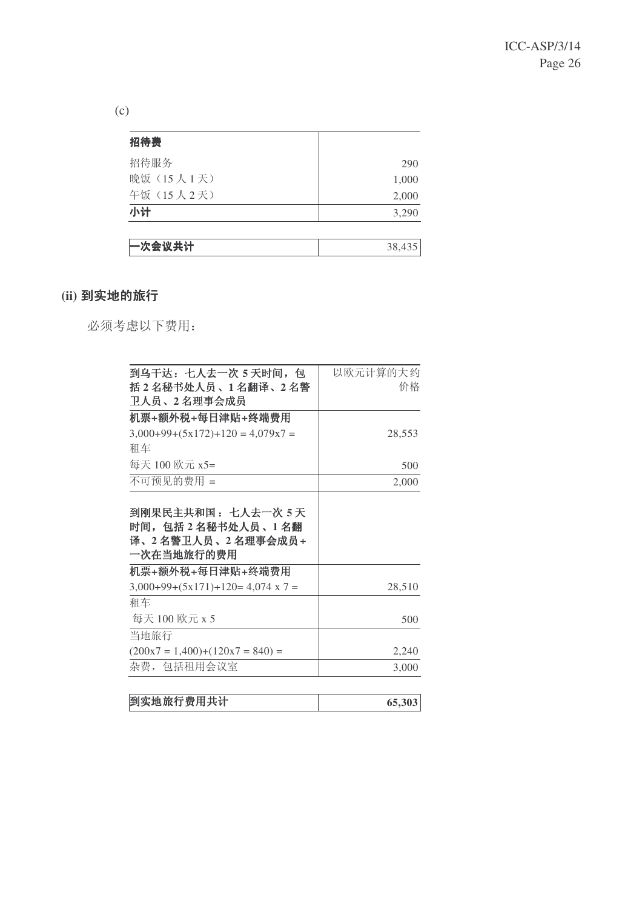(c)

| 招待费        |        |
|------------|--------|
| 招待服务       | 290    |
| 晚饭 (15人1天) | 1,000  |
| 午饭 (15人2天) | 2,000  |
| 小计         | 3,290  |
|            |        |
| 一次会议共计     | 38,435 |

### (ii) 到实地的旅行

必须考虑以下费用:

| 到乌干达:七人去一次 5 天时间,包                                                            | 以欧元计算的大约 |
|-------------------------------------------------------------------------------|----------|
| 括2名秘书处人员、1名翻译、2名警                                                             | 价格       |
| 卫人员、2 名理事会成员                                                                  |          |
| 机票+额外税+每日津贴+终端费用                                                              |          |
| $3,000+99+(5x172)+120 = 4,079x7 =$                                            | 28,553   |
| 和车                                                                            |          |
| 每天 100 欧元 x5=                                                                 | 500      |
| 不可预见的费用 =                                                                     | 2,000    |
| 到刚果民主共和国 : 七人去一次 5 天<br>时间,包括2名秘书处人员、1名翻<br>译、2 名警卫人员、2 名理事会成员+<br>一次在当地旅行的费用 |          |
| 机票+额外税+每日津贴+终端费用                                                              |          |
| $3,000+99+(5x171)+120=4,074 \times 7=$                                        | 28,510   |
| 和车                                                                            |          |
| 每天 100 欧元 x 5                                                                 | 500      |
| 当地旅行                                                                          |          |
| $(200x7 = 1,400)+(120x7 = 840) =$                                             | 2,240    |
| 杂费,包括租用会议室                                                                    | 3,000    |
|                                                                               |          |

| 到实地旅行费用共计 | 65.303 |
|-----------|--------|
|-----------|--------|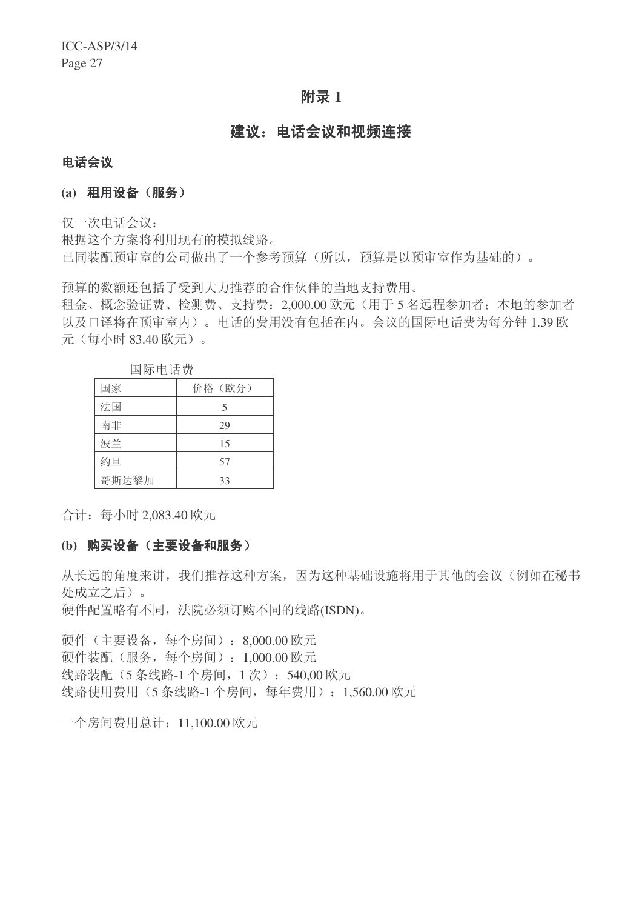### **附录1**

### 建议: 电话会议和视频连接

#### 电话会议

#### (a) 租用设备(服务)

仅一次电话会议:

根据这个方案将利用现有的模拟线路。 已同装配预审室的公司做出了一个参考预算(所以, 预算是以预审室作为基础的)。

预算的数额还包括了受到大力推荐的合作伙伴的当地支持费用。

和金、概念验证费、检测费、支持费: 2.000.00 欧元(用于5名远程参加者: 本地的参加者 以及口译将在预审室内)。电话的费用没有包括在内。会议的国际电话费为每分钟 1.39 欧 元 (每小时 83.40 欧元)。

| 国际电话贺 |         |  |
|-------|---------|--|
| 国家    | 价格 (欧分) |  |
| 法国    | 5       |  |
| 南非    | 29      |  |
| 波兰    | 15      |  |
| 约旦    | 57      |  |
| 哥斯达黎加 | 33      |  |

䰙⬉䆱䌍

合计: 每小时 2,083.40 欧元

#### (b) 购买设备 (主要设备和服务)

从长远的角度来讲, 我们推荐这种方案, 因为这种基础设施将用于其他的会议(例如在秘书 处成立之后)。

硬件配置略有不同, 法院必须订购不同的线路(ISDN)。

硬件(主要设备,每个房间): 8,000.00 欧元 硬件装配(服务,每个房间): 1,000.00 欧元 线路装配 (5 条线路-1 个房间, 1 次): 540.00 欧元 线路使用费用 (5 条线路-1 个房间, 每年费用): 1,560.00 欧元

一个房间费用总计: 11,100.00 欧元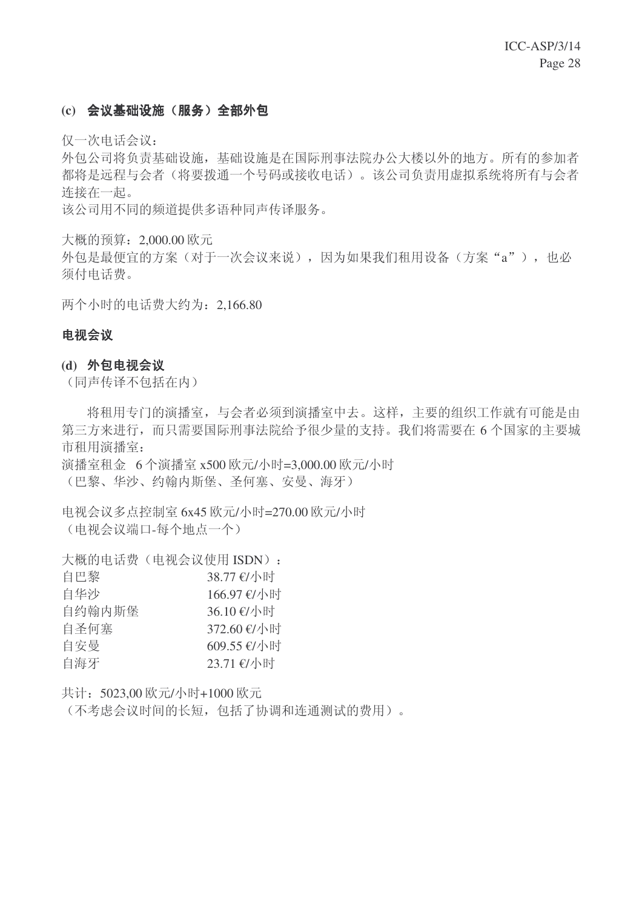### (c) 会议基础设施(服务)全部外包

仅一次电话会议:

外包公司将负责基础设施, 基础设施是在国际刑事法院办公大楼以外的地方。所有的参加者 都将是远程与会者(将要拨通一个号码或接收电话)。该公司负责用虚拟系统将所有与会者 连接在一起。

该公司用不同的频道提供多语种同声传译服务。

大概的预算: 2,000.00 欧元

外包是最便宜的方案(对于一次会议来说),因为如果我们租用设备(方案"a"),也必 须付电话费。

两个小时的电话费大约为: 2.166.80

#### 电视会议

#### (d) 外包电视会议

(同声传译不包括在内)

将租用专门的演播室,与会者必须到演播室中去。这样,主要的组织工作就有可能是由 第三方来进行,而只需要国际刑事法院给予很少量的支持。我们将需要在6个国家的主要城 市和用演播室:

演播室租金 6 个演播室 x500 欧元/小时=3,000.00 欧元/小时 (巴黎、华沙、约翰内斯堡、圣何塞、安曼、海牙)

电视会议多点控制室 6x45 欧元/小时=270.00 欧元/小时 (电视会议端口-每个地点一个)

大概的电话费(电视会议使用 ISDN):

| 自巴黎    | 38.77 €/小时  |
|--------|-------------|
| 自华沙    | 166.97 €/小时 |
| 自约翰内斯堡 | 36.10 €/小时  |
| 自圣何塞   | 372.60 €/小时 |
| 自安曼    | 609.55 €/小时 |
| 自海牙    | 23.71 €/小时  |

共计: 5023,00 欧元/小时+1000 欧元

(不考虑会议时间的长短,包括了协调和连通测试的费用)。